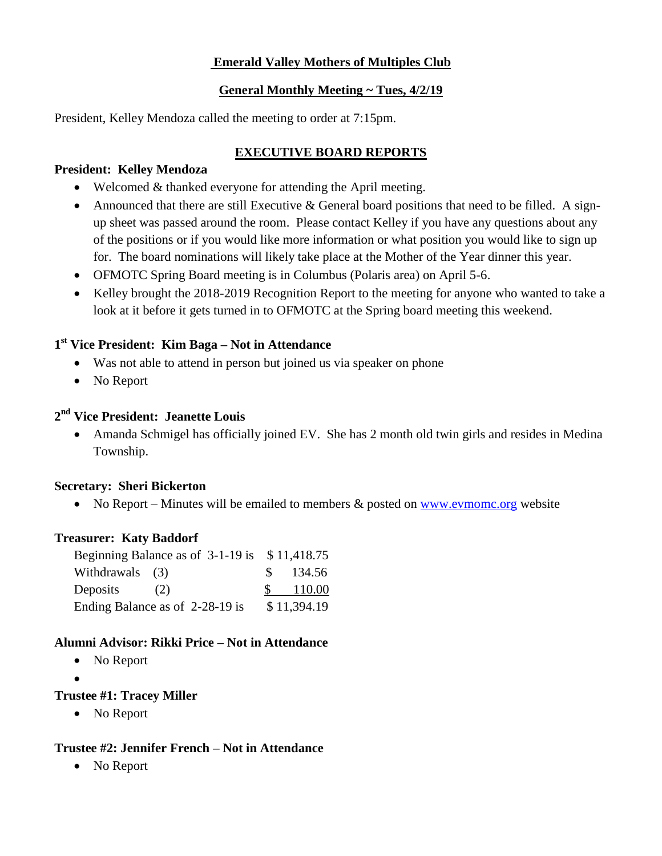# **Emerald Valley Mothers of Multiples Club**

## **General Monthly Meeting ~ Tues, 4/2/19**

President, Kelley Mendoza called the meeting to order at 7:15pm.

# **EXECUTIVE BOARD REPORTS**

#### **President: Kelley Mendoza**

- Welcomed & thanked everyone for attending the April meeting.
- Announced that there are still Executive & General board positions that need to be filled. A signup sheet was passed around the room. Please contact Kelley if you have any questions about any of the positions or if you would like more information or what position you would like to sign up for. The board nominations will likely take place at the Mother of the Year dinner this year.
- OFMOTC Spring Board meeting is in Columbus (Polaris area) on April 5-6.
- Kelley brought the 2018-2019 Recognition Report to the meeting for anyone who wanted to take a look at it before it gets turned in to OFMOTC at the Spring board meeting this weekend.

# **1 st Vice President: Kim Baga – Not in Attendance**

- Was not able to attend in person but joined us via speaker on phone
- No Report

# **2 nd Vice President: Jeanette Louis**

• Amanda Schmigel has officially joined EV. She has 2 month old twin girls and resides in Medina Township.

## **Secretary: Sheri Bickerton**

• No Report – Minutes will be emailed to members  $\&$  posted on [www.evmomc.org](http://www.evmomc.org/) website

## **Treasurer: Katy Baddorf**

| Beginning Balance as of $3-1-19$ is $$11,418.75$ |     |             |             |
|--------------------------------------------------|-----|-------------|-------------|
| Withdrawals (3)                                  |     | $S^{\circ}$ | 134.56      |
| Deposits                                         | (2) |             | 110.00      |
| Ending Balance as of 2-28-19 is                  |     |             | \$11,394.19 |

## **Alumni Advisor: Rikki Price – Not in Attendance**

- No Report
- $\bullet$

# **Trustee #1: Tracey Miller**

• No Report

# **Trustee #2: Jennifer French – Not in Attendance**

• No Report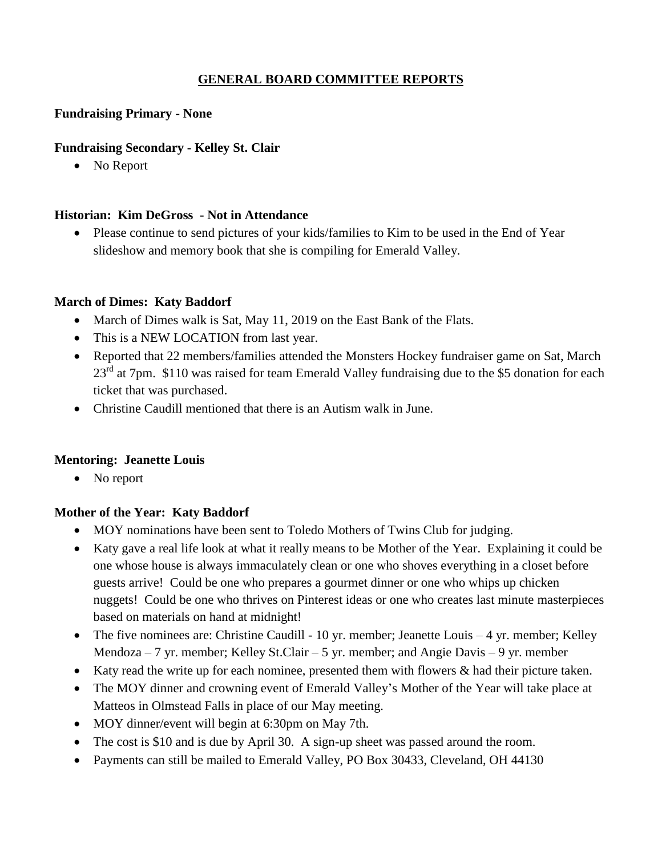# **GENERAL BOARD COMMITTEE REPORTS**

### **Fundraising Primary - None**

#### **Fundraising Secondary - Kelley St. Clair**

• No Report

#### **Historian: Kim DeGross - Not in Attendance**

 Please continue to send pictures of your kids/families to Kim to be used in the End of Year slideshow and memory book that she is compiling for Emerald Valley.

#### **March of Dimes: Katy Baddorf**

- March of Dimes walk is Sat, May 11, 2019 on the East Bank of the Flats.
- This is a NEW LOCATION from last year.
- Reported that 22 members/families attended the Monsters Hockey fundraiser game on Sat, March 23<sup>rd</sup> at 7pm. \$110 was raised for team Emerald Valley fundraising due to the \$5 donation for each ticket that was purchased.
- Christine Caudill mentioned that there is an Autism walk in June.

## **Mentoring: Jeanette Louis**

• No report

## **Mother of the Year: Katy Baddorf**

- MOY nominations have been sent to Toledo Mothers of Twins Club for judging.
- Katy gave a real life look at what it really means to be Mother of the Year. Explaining it could be one whose house is always immaculately clean or one who shoves everything in a closet before guests arrive! Could be one who prepares a gourmet dinner or one who whips up chicken nuggets! Could be one who thrives on Pinterest ideas or one who creates last minute masterpieces based on materials on hand at midnight!
- The five nominees are: Christine Caudill 10 yr. member; Jeanette Louis 4 yr. member; Kelley Mendoza – 7 yr. member; Kelley St.Clair – 5 yr. member; and Angie Davis – 9 yr. member
- Katy read the write up for each nominee, presented them with flowers & had their picture taken.
- The MOY dinner and crowning event of Emerald Valley's Mother of the Year will take place at Matteos in Olmstead Falls in place of our May meeting.
- MOY dinner/event will begin at 6:30pm on May 7th.
- The cost is \$10 and is due by April 30. A sign-up sheet was passed around the room.
- Payments can still be mailed to Emerald Valley, PO Box 30433, Cleveland, OH 44130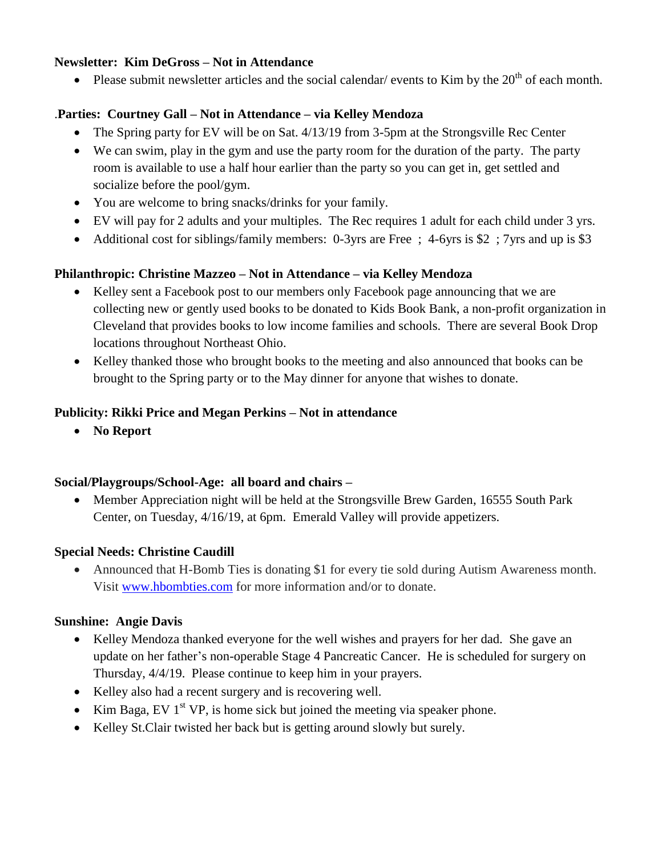## **Newsletter: Kim DeGross – Not in Attendance**

• Please submit newsletter articles and the social calendar/ events to Kim by the  $20<sup>th</sup>$  of each month.

# .**Parties: Courtney Gall – Not in Attendance – via Kelley Mendoza**

- The Spring party for EV will be on Sat. 4/13/19 from 3-5pm at the Strongsville Rec Center
- We can swim, play in the gym and use the party room for the duration of the party. The party room is available to use a half hour earlier than the party so you can get in, get settled and socialize before the pool/gym.
- You are welcome to bring snacks/drinks for your family.
- EV will pay for 2 adults and your multiples. The Rec requires 1 adult for each child under 3 yrs.
- Additional cost for siblings/family members: 0-3yrs are Free ; 4-6yrs is \$2 ; 7yrs and up is \$3

# **Philanthropic: Christine Mazzeo – Not in Attendance – via Kelley Mendoza**

- Kelley sent a Facebook post to our members only Facebook page announcing that we are collecting new or gently used books to be donated to Kids Book Bank, a non-profit organization in Cleveland that provides books to low income families and schools. There are several Book Drop locations throughout Northeast Ohio.
- Kelley thanked those who brought books to the meeting and also announced that books can be brought to the Spring party or to the May dinner for anyone that wishes to donate.

# **Publicity: Rikki Price and Megan Perkins – Not in attendance**

**No Report**

## **Social/Playgroups/School-Age: all board and chairs –**

 Member Appreciation night will be held at the Strongsville Brew Garden, 16555 South Park Center, on Tuesday, 4/16/19, at 6pm. Emerald Valley will provide appetizers.

## **Special Needs: Christine Caudill**

 Announced that H-Bomb Ties is donating \$1 for every tie sold during Autism Awareness month. Visit [www.hbombties.com](http://www.hbombties.com/) for more information and/or to donate.

# **Sunshine: Angie Davis**

- Kelley Mendoza thanked everyone for the well wishes and prayers for her dad. She gave an update on her father's non-operable Stage 4 Pancreatic Cancer. He is scheduled for surgery on Thursday, 4/4/19. Please continue to keep him in your prayers.
- Kelley also had a recent surgery and is recovering well.
- Kim Baga, EV  $1^{st}$  VP, is home sick but joined the meeting via speaker phone.
- Kelley St.Clair twisted her back but is getting around slowly but surely.